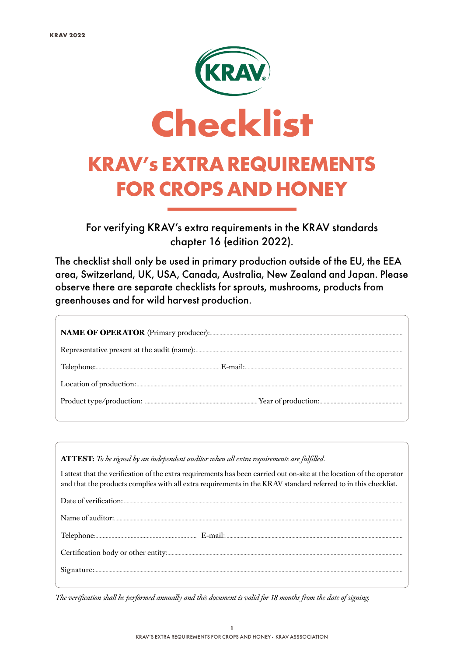

For verifying KRAV's extra requirements in the KRAV standards chapter 16 (edition 2022).

The checklist shall only be used in primary production outside of the EU, the EEA area, Switzerland, UK, USA, Canada, Australia, New Zealand and Japan. Please observe there are separate checklists for sprouts, mushrooms, products from greenhouses and for wild harvest production.

| <b>ATTEST:</b> To be signed by an independent auditor when all extra requirements are fulfilled.                                                                                                                                        |
|-----------------------------------------------------------------------------------------------------------------------------------------------------------------------------------------------------------------------------------------|
| I attest that the verification of the extra requirements has been carried out on-site at the location of the operator<br>and that the products complies with all extra requirements in the KRAV standard referred to in this checklist. |
|                                                                                                                                                                                                                                         |
|                                                                                                                                                                                                                                         |
|                                                                                                                                                                                                                                         |
|                                                                                                                                                                                                                                         |
|                                                                                                                                                                                                                                         |

*The verification shall be performed annually and this document is valid for 18 months from the date of signing.*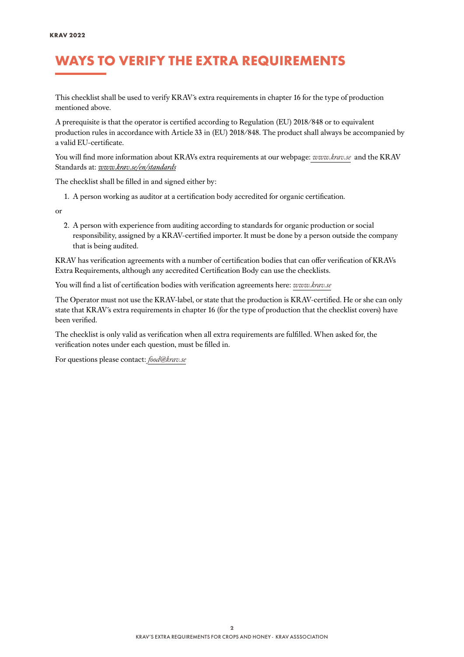### WAYS TO VERIFY THE EXTRA REQUIREMENTS

This checklist shall be used to verify KRAV´s extra requirements in chapter 16 for the type of production mentioned above.

A prerequisite is that the operator is certified according to Regulation (EU) 2018/848 or to equivalent production rules in accordance with Article 33 in (EU) 2018/848. The product shall always be accompanied by a valid EU-certificate.

You will find more information about KRAVs extra requirements at our webpage: *[www.krav.se](www.krav.se/en/for-companies/extra-requirements-for-all-products/)* and the KRAV Standards at: *[www.krav.se/en/standards](https://www.krav.se/en/standards )*

The checklist shall be filled in and signed either by:

1. A person working as auditor at a certification body accredited for organic certification.

or

2. A person with experience from auditing according to standards for organic production or social responsibility, assigned by a KRAV-certified importer. It must be done by a person outside the company that is being audited.

KRAV has verification agreements with a number of certification bodies that can offer verification of KRAVs Extra Requirements, although any accredited Certification Body can use the checklists.

You will find a list of certification bodies with verification agreements here: *[www.krav.se](https://www.krav.se/en/asset/certification-bodies-with-verification-agreement/)*

The Operator must not use the KRAV-label, or state that the production is KRAV-certified. He or she can only state that KRAV´s extra requirements in chapter 16 (for the type of production that the checklist covers) have been verified.

The checklist is only valid as verification when all extra requirements are fulfilled. When asked for, the verification notes under each question, must be filled in.

For questions please contact: *[food@krav.se](mailto:food%40krav.se?subject=From%20extra%20requirements)*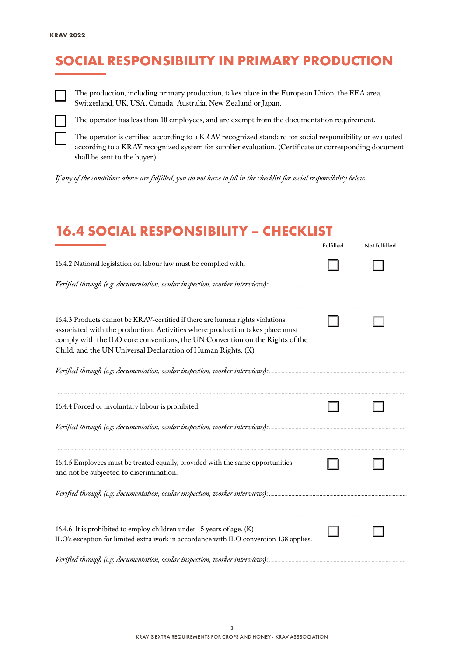# SOCIAL RESPONSIBILITY IN PRIMARY PRODUCTION



The production, including primary production, takes place in the European Union, the EEA area, Switzerland, UK, USA, Canada, Australia, New Zealand or Japan.



The operator has less than 10 employees, and are exempt from the documentation requirement.

The operator is certified according to a KRAV recognized standard for social responsibility or evaluated according to a KRAV recognized system for supplier evaluation. (Certificate or corresponding document shall be sent to the buyer.)

*If any of the conditions above are fulfilled, you do not have to fill in the checklist for social responsibility below.*

#### 16.4 SOCIAL RESPONSIBILITY – CHECKLIST

|                                                                                                                                                                                                                                                                                                               | Fulfilled | Not fulfilled |
|---------------------------------------------------------------------------------------------------------------------------------------------------------------------------------------------------------------------------------------------------------------------------------------------------------------|-----------|---------------|
| 16.4.2 National legislation on labour law must be complied with.                                                                                                                                                                                                                                              |           |               |
|                                                                                                                                                                                                                                                                                                               |           |               |
| 16.4.3 Products cannot be KRAV-certified if there are human rights violations<br>associated with the production. Activities where production takes place must<br>comply with the ILO core conventions, the UN Convention on the Rights of the<br>Child, and the UN Universal Declaration of Human Rights. (K) |           |               |
|                                                                                                                                                                                                                                                                                                               |           |               |
| 16.4.4 Forced or involuntary labour is prohibited.                                                                                                                                                                                                                                                            |           |               |
|                                                                                                                                                                                                                                                                                                               |           |               |
| 16.4.5 Employees must be treated equally, provided with the same opportunities<br>and not be subjected to discrimination.                                                                                                                                                                                     |           |               |
|                                                                                                                                                                                                                                                                                                               |           |               |
| 16.4.6. It is prohibited to employ children under 15 years of age. (K)<br>ILO's exception for limited extra work in accordance with ILO convention 138 applies.                                                                                                                                               |           |               |
|                                                                                                                                                                                                                                                                                                               |           |               |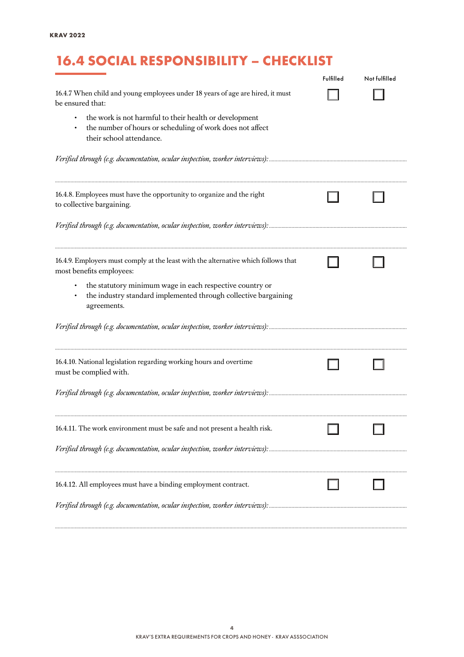# 16.4 SOCIAL RESPONSIBILITY – CHECKLIST

|                                                                                                                                                 | Fulfilled | Not fulfilled |
|-------------------------------------------------------------------------------------------------------------------------------------------------|-----------|---------------|
| 16.4.7 When child and young employees under 18 years of age are hired, it must<br>be ensured that:                                              |           |               |
| the work is not harmful to their health or development<br>the number of hours or scheduling of work does not affect<br>their school attendance. |           |               |
|                                                                                                                                                 |           |               |
| 16.4.8. Employees must have the opportunity to organize and the right<br>to collective bargaining.                                              |           |               |
|                                                                                                                                                 |           |               |
| 16.4.9. Employers must comply at the least with the alternative which follows that<br>most benefits employees:                                  |           |               |
| the statutory minimum wage in each respective country or<br>the industry standard implemented through collective bargaining<br>agreements.      |           |               |
|                                                                                                                                                 |           |               |
| 16.4.10. National legislation regarding working hours and overtime<br>must be complied with.                                                    |           |               |
|                                                                                                                                                 |           |               |
| 16.4.11. The work environment must be safe and not present a health risk.                                                                       |           |               |
|                                                                                                                                                 |           |               |
| 16.4.12. All employees must have a binding employment contract.                                                                                 |           |               |
|                                                                                                                                                 |           |               |

*..........................................................................................................................................................................................................................................................*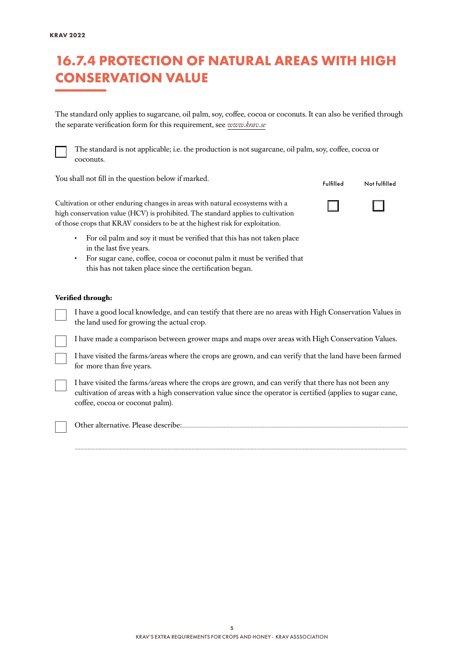#### 16.7.4 PROTECTION OF NATURAL AREAS WITH HIGH CONSERVATION VALUE

The standard only applies to sugarcane, oil palm, soy, coffee, cocoa or coconuts. It can also be verified through the separate verification form for this requirement, see *[www.krav.se](https://www.krav.se/en/for-companies/extra-requirements-for-all-products/)*



The standard is not applicable; i.e. the production is not sugarcane, oil palm, soy, coffee, cocoa or coconuts.

You shall not fill in the question below if marked.

| Fulfilled | Not fulfilled |
|-----------|---------------|
|-----------|---------------|

 $\Box$ 

 $\Box$ 

Cultivation or other enduring changes in areas with natural ecosystems with a high conservation value (HCV) is prohibited. The standard applies to cultivation of those crops that KRAV considers to be at the highest risk for exploitation.

- For oil palm and soy it must be verified that this has not taken place in the last five years.
- For sugar cane, coffee, cocoa or coconut palm it must be verified that this has not taken place since the certification began.

#### **Verified through:**

I have a good local knowledge, and can testify that there are no areas with High Conservation Values in the land used for growing the actual crop.

I have made a comparison between grower maps and maps over areas with High Conservation Values.

I have visited the farms/areas where the crops are grown, and can verify that the land have been farmed for more than five years.

I have visited the farms/areas where the crops are grown, and can verify that there has not been any cultivation of areas with a high conservation value since the operator is certified (applies to sugar cane, coffee, cocoa or coconut palm).

............................................................................................................................................................................................................................................



Other alternative. Please describe:.................................................................................................................................................................